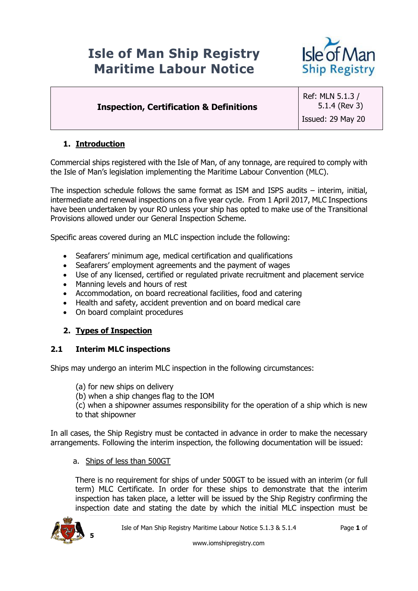# **Isle of Man Ship Registry Maritime Labour Notice**



# **Inspection, Certification & Definitions**

Ref: MLN 5.1.3 / 5.1.4 (Rev 3) Issued: 29 May 20

## **1. Introduction**

Commercial ships registered with the Isle of Man, of any tonnage, are required to comply with the Isle of Man's legislation implementing the Maritime Labour Convention (MLC).

The inspection schedule follows the same format as ISM and ISPS audits – interim, initial, intermediate and renewal inspections on a five year cycle. From 1 April 2017, MLC Inspections have been undertaken by your RO unless your ship has opted to make use of the Transitional Provisions allowed under our General Inspection Scheme.

Specific areas covered during an MLC inspection include the following:

- Seafarers' minimum age, medical certification and qualifications
- Seafarers' employment agreements and the payment of wages
- Use of any licensed, certified or regulated private recruitment and placement service
- Manning levels and hours of rest
- Accommodation, on board recreational facilities, food and catering
- Health and safety, accident prevention and on board medical care
- On board complaint procedures

#### **2. Types of Inspection**

#### **2.1 Interim MLC inspections**

Ships may undergo an interim MLC inspection in the following circumstances:

- (a) for new ships on delivery
- (b) when a ship changes flag to the IOM

(c) when a shipowner assumes responsibility for the operation of a ship which is new to that shipowner

In all cases, the Ship Registry must be contacted in advance in order to make the necessary arrangements. Following the interim inspection, the following documentation will be issued:

a. Ships of less than 500GT

There is no requirement for ships of under 500GT to be issued with an interim (or full term) MLC Certificate. In order for these ships to demonstrate that the interim inspection has taken place, a letter will be issued by the Ship Registry confirming the inspection date and stating the date by which the initial MLC inspection must be

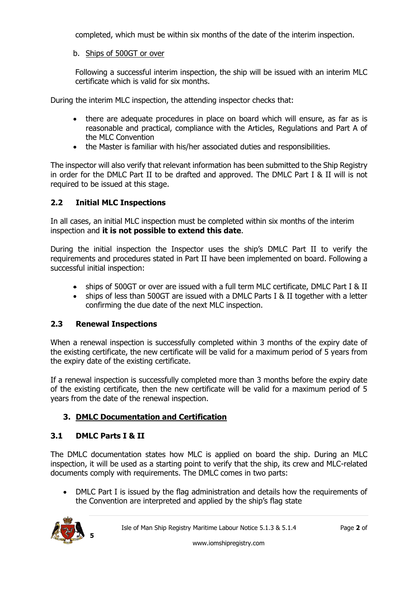completed, which must be within six months of the date of the interim inspection.

## b. Ships of 500GT or over

Following a successful interim inspection, the ship will be issued with an interim MLC certificate which is valid for six months.

During the interim MLC inspection, the attending inspector checks that:

- there are adequate procedures in place on board which will ensure, as far as is reasonable and practical, compliance with the Articles, Regulations and Part A of the MLC Convention
- the Master is familiar with his/her associated duties and responsibilities.

The inspector will also verify that relevant information has been submitted to the Ship Registry in order for the DMLC Part II to be drafted and approved. The DMLC Part I & II will is not required to be issued at this stage.

## **2.2 Initial MLC Inspections**

In all cases, an initial MLC inspection must be completed within six months of the interim inspection and **it is not possible to extend this date**.

During the initial inspection the Inspector uses the ship's DMLC Part II to verify the requirements and procedures stated in Part II have been implemented on board. Following a successful initial inspection:

- ships of 500GT or over are issued with a full term MLC certificate, DMLC Part I & II
- ships of less than 500GT are issued with a DMLC Parts I & II together with a letter confirming the due date of the next MLC inspection.

## **2.3 Renewal Inspections**

When a renewal inspection is successfully completed within 3 months of the expiry date of the existing certificate, the new certificate will be valid for a maximum period of 5 years from the expiry date of the existing certificate.

If a renewal inspection is successfully completed more than 3 months before the expiry date of the existing certificate, then the new certificate will be valid for a maximum period of 5 years from the date of the renewal inspection.

# **3. DMLC Documentation and Certification**

## **3.1 DMLC Parts I & II**

The DMLC documentation states how MLC is applied on board the ship. During an MLC inspection, it will be used as a starting point to verify that the ship, its crew and MLC-related documents comply with requirements. The DMLC comes in two parts:

 DMLC Part I is issued by the flag administration and details how the requirements of the Convention are interpreted and applied by the ship's flag state

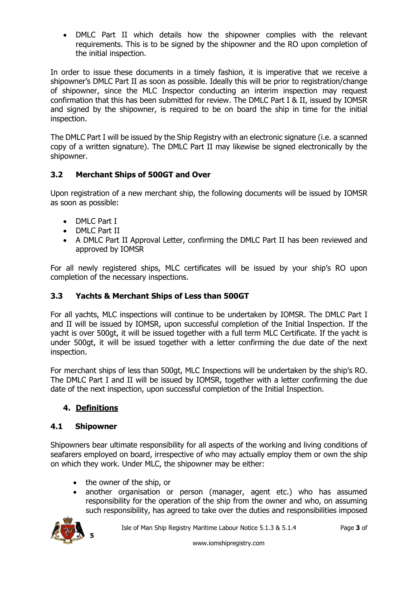DMLC Part II which details how the shipowner complies with the relevant requirements. This is to be signed by the shipowner and the RO upon completion of the initial inspection.

In order to issue these documents in a timely fashion, it is imperative that we receive a shipowner's DMLC Part II as soon as possible. Ideally this will be prior to registration/change of shipowner, since the MLC Inspector conducting an interim inspection may request confirmation that this has been submitted for review. The DMLC Part I & II, issued by IOMSR and signed by the shipowner, is required to be on board the ship in time for the initial inspection.

The DMLC Part I will be issued by the Ship Registry with an electronic signature (i.e. a scanned copy of a written signature). The DMLC Part II may likewise be signed electronically by the shipowner.

## **3.2 Merchant Ships of 500GT and Over**

Upon registration of a new merchant ship, the following documents will be issued by IOMSR as soon as possible:

- DMLC Part I
- DMLC Part II
- A DMLC Part II Approval Letter, confirming the DMLC Part II has been reviewed and approved by IOMSR

For all newly registered ships, MLC certificates will be issued by your ship's RO upon completion of the necessary inspections.

## **3.3 Yachts & Merchant Ships of Less than 500GT**

For all yachts, MLC inspections will continue to be undertaken by IOMSR. The DMLC Part I and II will be issued by IOMSR, upon successful completion of the Initial Inspection. If the yacht is over 500gt, it will be issued together with a full term MLC Certificate. If the yacht is under 500gt, it will be issued together with a letter confirming the due date of the next inspection.

For merchant ships of less than 500gt, MLC Inspections will be undertaken by the ship's RO. The DMLC Part I and II will be issued by IOMSR, together with a letter confirming the due date of the next inspection, upon successful completion of the Initial Inspection.

## **4. Definitions**

## **4.1 Shipowner**

Shipowners bear ultimate responsibility for all aspects of the working and living conditions of seafarers employed on board, irrespective of who may actually employ them or own the ship on which they work. Under MLC, the shipowner may be either:

- the owner of the ship, or
- another organisation or person (manager, agent etc.) who has assumed responsibility for the operation of the ship from the owner and who, on assuming such responsibility, has agreed to take over the duties and responsibilities imposed

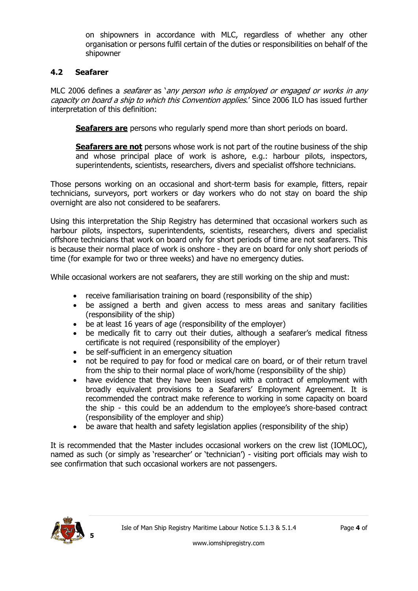on shipowners in accordance with MLC, regardless of whether any other organisation or persons fulfil certain of the duties or responsibilities on behalf of the shipowner

### **4.2 Seafarer**

MLC 2006 defines a seafarer as 'any person who is employed or engaged or works in any capacity on board a ship to which this Convention applies.' Since 2006 ILO has issued further interpretation of this definition:

**Seafarers are** persons who regularly spend more than short periods on board.

**Seafarers are not** persons whose work is not part of the routine business of the ship and whose principal place of work is ashore, e.g.: harbour pilots, inspectors, superintendents, scientists, researchers, divers and specialist offshore technicians.

Those persons working on an occasional and short-term basis for example, fitters, repair technicians, surveyors, port workers or day workers who do not stay on board the ship overnight are also not considered to be seafarers.

Using this interpretation the Ship Registry has determined that occasional workers such as harbour pilots, inspectors, superintendents, scientists, researchers, divers and specialist offshore technicians that work on board only for short periods of time are not seafarers. This is because their normal place of work is onshore - they are on board for only short periods of time (for example for two or three weeks) and have no emergency duties.

While occasional workers are not seafarers, they are still working on the ship and must:

- receive familiarisation training on board (responsibility of the ship)
- be assigned a berth and given access to mess areas and sanitary facilities (responsibility of the ship)
- be at least 16 years of age (responsibility of the employer)
- be medically fit to carry out their duties, although a seafarer's medical fitness certificate is not required (responsibility of the employer)
- be self-sufficient in an emergency situation
- not be required to pay for food or medical care on board, or of their return travel from the ship to their normal place of work/home (responsibility of the ship)
- have evidence that they have been issued with a contract of employment with broadly equivalent provisions to a Seafarers' Employment Agreement. It is recommended the contract make reference to working in some capacity on board the ship - this could be an addendum to the employee's shore-based contract (responsibility of the employer and ship)
- be aware that health and safety legislation applies (responsibility of the ship)

It is recommended that the Master includes occasional workers on the crew list (IOMLOC), named as such (or simply as 'researcher' or 'technician') - visiting port officials may wish to see confirmation that such occasional workers are not passengers.